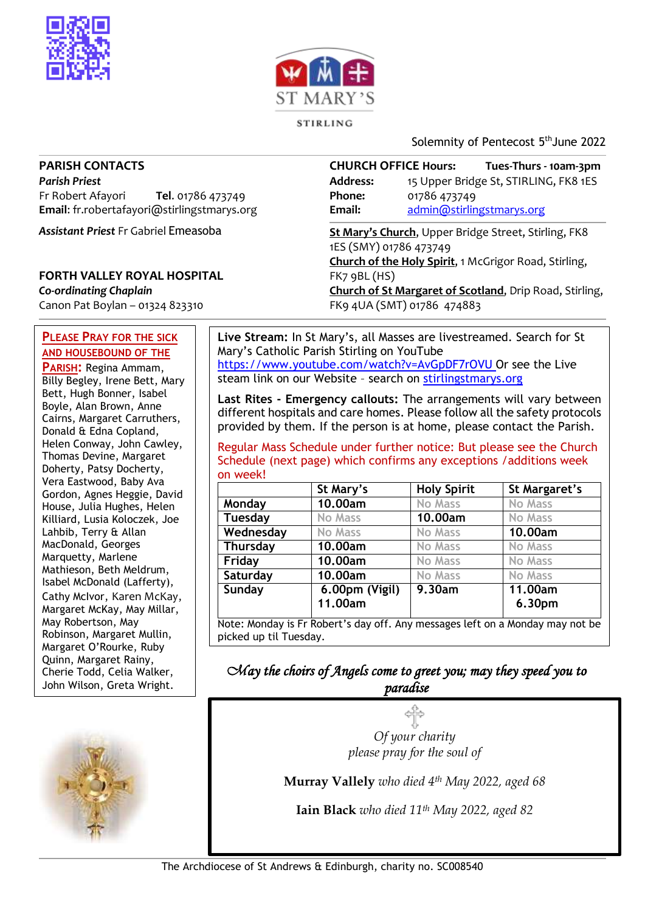



STIRLING

Solemnity of Pentecost 5<sup>th</sup>June 2022

#### **PARISH CONTACTS**

*Parish Priest* Fr Robert Afayori **Tel**. 01786 473749 **Email**: fr.robertafayori@stirlingstmarys.org

*Assistant Priest* Fr Gabriel Emeasoba

### **FORTH VALLEY ROYAL HOSPITAL**

*Co-ordinating Chaplain* Canon Pat Boylan – 01324 823310

#### **PLEASE PRAY FOR THE SICK AND HOUSEBOUND OF THE**

**PARISH:** Regina Ammam, Billy Begley, Irene Bett, Mary Bett, Hugh Bonner, Isabel Boyle, Alan Brown, Anne Cairns, Margaret Carruthers, Donald & Edna Copland, Helen Conway, John Cawley, Thomas Devine, Margaret Doherty, Patsy Docherty, Vera Eastwood, Baby Ava Gordon, Agnes Heggie, David House, Julia Hughes, Helen Killiard, Lusia Koloczek, Joe Lahbib, Terry & Allan MacDonald, Georges Marquetty, Marlene Mathieson, Beth Meldrum, Isabel McDonald (Lafferty), Cathy McIvor, Karen McKay, Margaret McKay, May Millar, May Robertson, May Robinson, Margaret Mullin, Margaret O'Rourke, Ruby Quinn, Margaret Rainy, Cherie Todd, Celia Walker, John Wilson, Greta Wright.



**CHURCH OFFICE Hours: Tues-Thurs - 10am-3pm Address:** 15 Upper Bridge St, STIRLING, FK8 1ES **Phone:** 01786 473749 **Email:** [admin@stirlingstmarys.org](mailto:admin@stirlingstmarys.org)

**St Mary's Church**, Upper Bridge Street, Stirling, FK8 1ES (SMY) 01786 473749 **Church of the Holy Spirit**, 1 McGrigor Road, Stirling, FK7 9BL (HS) **Church of St Margaret of Scotland**, Drip Road, Stirling, FK9 4UA (SMT) 01786 474883

**Live Stream:** In St Mary's, all Masses are livestreamed. Search for St Mary's Catholic Parish Stirling on YouTube <https://www.youtube.com/watch?v=AvGpDF7rOVU> Or see the Live steam link on our Website – search on stirlingstmarys.org

**Last Rites - Emergency callouts:** The arrangements will vary between different hospitals and care homes. Please follow all the safety protocols provided by them. If the person is at home, please contact the Parish.

Regular Mass Schedule under further notice: But please see the Church Schedule (next page) which confirms any exceptions /additions week on week!

|           | St Mary's      | <b>Holy Spirit</b> | St Margaret's  |
|-----------|----------------|--------------------|----------------|
| Monday    | 10.00am        | No Mass            | No Mass        |
| Tuesday   | <b>No Mass</b> | 10.00am            | <b>No Mass</b> |
| Wednesday | <b>No Mass</b> | <b>No Mass</b>     | 10.00am        |
| Thursday  | 10.00am        | <b>No Mass</b>     | <b>No Mass</b> |
| Friday    | 10.00am        | <b>No Mass</b>     | <b>No Mass</b> |
| Saturday  | 10.00am        | <b>No Mass</b>     | <b>No Mass</b> |
| Sunday    | 6.00pm (Vigil) | 9.30am             | 11.00am        |
|           | 11.00am        |                    | 6.30pm         |

*May the choirs of Angels come to greet you; may they speed you to paradise* 

> *Of your charity please pray for the soul of*

**Murray Vallely** *who died 4th May 2022, aged 68*

**Iain Black** *who died 11th May 2022, aged 82*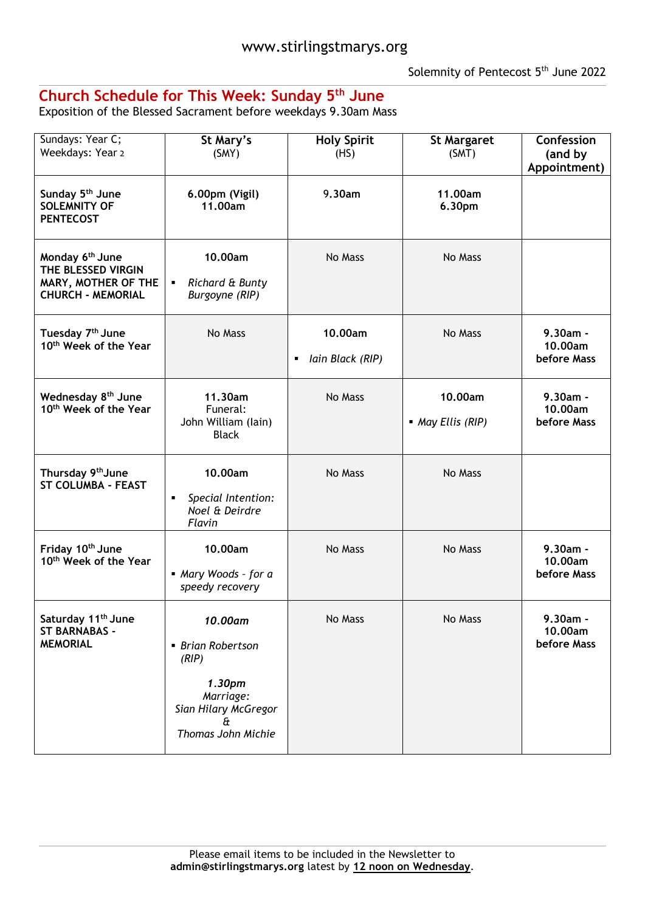## **Church Schedule for This Week: Sunday 5 th June**

Exposition of the Blessed Sacrament before weekdays 9.30am Mass

| Sundays: Year C;<br>Weekdays: Year 2                                                                 | St Mary's<br>(SMY)                                             | <b>Holy Spirit</b><br>(HS)  | <b>St Margaret</b><br>(SMT)  | Confession<br>(and by<br>Appointment) |
|------------------------------------------------------------------------------------------------------|----------------------------------------------------------------|-----------------------------|------------------------------|---------------------------------------|
| Sunday 5 <sup>th</sup> June<br><b>SOLEMNITY OF</b><br><b>PENTECOST</b>                               | 6.00pm (Vigil)<br>11.00am                                      | 9.30am                      | 11.00am<br>6.30pm            |                                       |
| Monday 6 <sup>th</sup> June<br>THE BLESSED VIRGIN<br>MARY, MOTHER OF THE<br><b>CHURCH - MEMORIAL</b> | 10.00am<br>Richard & Bunty<br>٠<br>Burgoyne (RIP)              | No Mass                     | No Mass                      |                                       |
| Tuesday 7 <sup>th</sup> June<br>10 <sup>th</sup> Week of the Year                                    | No Mass                                                        | 10.00am<br>Iain Black (RIP) | No Mass                      | 9.30am -<br>10.00am<br>before Mass    |
| Wednesday 8 <sup>th</sup> June<br>10 <sup>th</sup> Week of the Year                                  | 11.30am<br>Funeral:<br>John William (lain)<br><b>Black</b>     | No Mass                     | 10.00am<br>• May Ellis (RIP) | $9.30am -$<br>10.00am<br>before Mass  |
| Thursday 9 <sup>th</sup> June<br><b>ST COLUMBA - FEAST</b>                                           | 10.00am<br>Special Intention:<br>٠<br>Noel & Deirdre<br>Flavin | No Mass                     | No Mass                      |                                       |
| Friday 10th June<br>10 <sup>th</sup> Week of the Year                                                | 10.00am<br>Mary Woods - for a<br>speedy recovery               | No Mass                     | No Mass                      | $9.30am -$<br>10.00am<br>before Mass  |
| Saturday 11 <sup>th</sup> June<br><b>ST BARNABAS -</b><br><b>MEMORIAL</b>                            | 10.00am<br>• Brian Robertson<br>(RIP)<br>1.30pm<br>Marriage:   | No Mass                     | No Mass                      | 9.30am -<br>10.00am<br>before Mass    |
|                                                                                                      | Sian Hilary McGregor<br>£<br>Thomas John Michie                |                             |                              |                                       |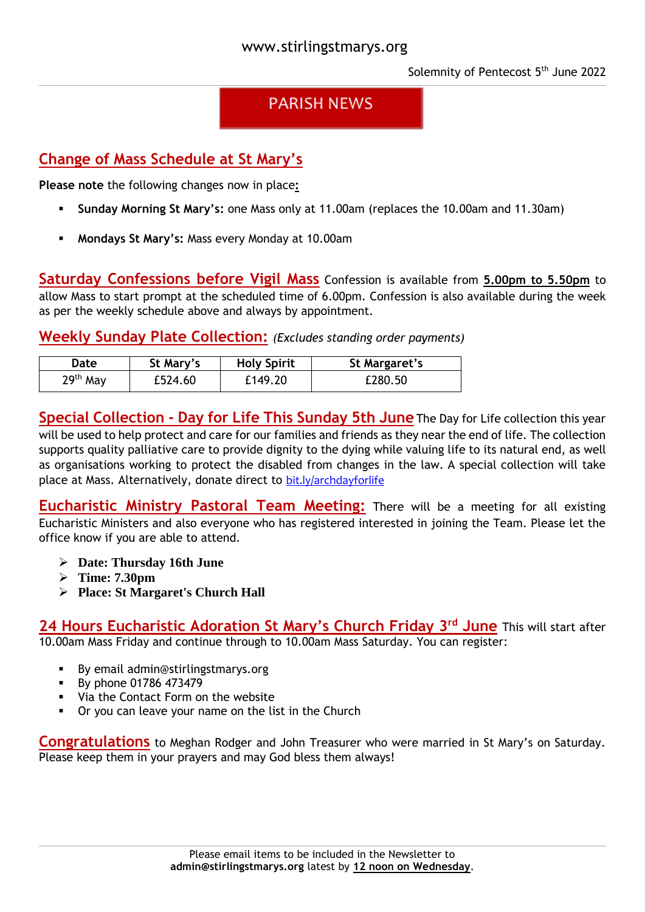# **PARISH NEWS**

# **Change of Mass Schedule at St Mary's**

**Please note** the following changes now in place**:**

- **Sunday Morning St Mary's:** one Mass only at 11.00am (replaces the 10.00am and 11.30am)
- **Mondays St Mary's:** Mass every Monday at 10.00am

**Saturday Confessions before Vigil Mass** Confession is available from **5.00pm to 5.50pm** to allow Mass to start prompt at the scheduled time of 6.00pm. Confession is also available during the week as per the weekly schedule above and always by appointment.

**Weekly Sunday Plate Collection:** *(Excludes standing order payments)*

| Date       | St Mary's | <b>Holy Spirit</b> | St Margaret's |
|------------|-----------|--------------------|---------------|
| $29th$ May | £524.60   | £149.20            | £280.50       |

**Special Collection - Day for Life This Sunday 5th June** The Day for Life collection this year will be used to help protect and care for our families and friends as they near the end of life. The collection supports quality palliative care to provide dignity to the dying while valuing life to its natural end, as well as organisations working to protect the disabled from changes in the law. A special collection will take place at Mass. Alternatively, donate direct to [bit.ly/archdayforlife](https://bit.ly/archdayforlife)

**Eucharistic Ministry Pastoral Team Meeting:** There will be a meeting for all existing Eucharistic Ministers and also everyone who has registered interested in joining the Team. Please let the office know if you are able to attend.

- **Date: Thursday 16th June**
- **Time: 7.30pm**
- **Place: St Margaret's Church Hall**

**24 Hours Eucharistic Adoration St Mary's Church Friday 3 rd June** This will start after 10.00am Mass Friday and continue through to 10.00am Mass Saturday. You can register:

- By email [admin@stirlingstmarys.org](mailto:admin@stirlingstmarys.org)
- By phone 01786 473479
- Via the Contact Form on the website
- Or you can leave your name on the list in the Church

**Congratulations** to Meghan Rodger and John Treasurer who were married in St Mary's on Saturday. Please keep them in your prayers and may God bless them always!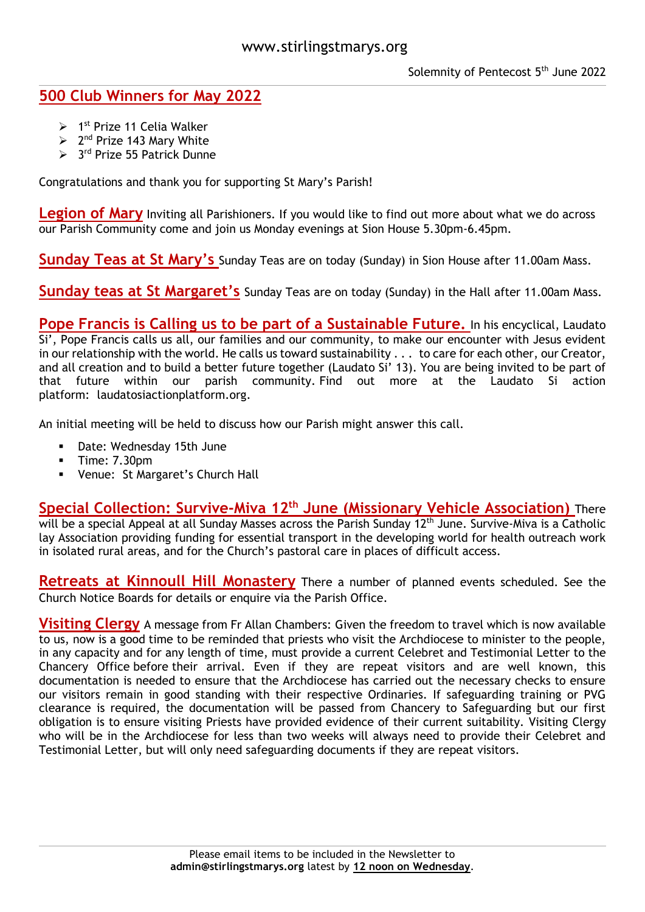## **500 Club Winners for May 2022**

- $> 1<sup>st</sup>$  Prize 11 Celia Walker
- $\geq 2^{nd}$  Prize 143 Mary White
- > 3<sup>rd</sup> Prize 55 Patrick Dunne

Congratulations and thank you for supporting St Mary's Parish!

**Legion of Mary** Inviting all Parishioners. If you would like to find out more about what we do across our Parish Community come and join us Monday evenings at Sion House 5.30pm-6.45pm.

**Sunday Teas at St Mary's** Sunday Teas are on today (Sunday) in Sion House after 11.00am Mass.

**Sunday teas at St Margaret's** Sunday Teas are on today (Sunday) in the Hall after 11.00am Mass.

**Pope Francis is Calling us to be part of a Sustainable Future.** In his encyclical, Laudato Si', Pope Francis calls us all, our families and our community, to make our encounter with Jesus evident in our relationship with the world. He calls us toward sustainability . . . to care for each other, our Creator, and all creation and to build a better future together (Laudato Si' 13). You are being invited to be part of that future within our parish community. Find out more at the Laudato Si action platform: laudatosiactionplatform.org.

An initial meeting will be held to discuss how our Parish might answer this call.

- Date: Wednesday 15th June
- $\blacksquare$  Time: 7.30pm
- Venue: St Margaret's Church Hall

**Special Collection: Survive-Miva 12th June (Missionary Vehicle Association)** There will be a special Appeal at all Sunday Masses across the Parish Sunday 12<sup>th</sup> June. Survive-Miva is a Catholic lay Association providing funding for essential transport in the developing world for health outreach work in isolated rural areas, and for the Church's pastoral care in places of difficult access.

**Retreats at Kinnoull Hill Monastery** There a number of planned events scheduled. See the Church Notice Boards for details or enquire via the Parish Office.

**Visiting Clergy** A message from Fr Allan Chambers: Given the freedom to travel which is now available to us, now is a good time to be reminded that priests who visit the Archdiocese to minister to the people, in any capacity and for any length of time, must provide a current Celebret and Testimonial Letter to the Chancery Office before their arrival. Even if they are repeat visitors and are well known, this documentation is needed to ensure that the Archdiocese has carried out the necessary checks to ensure our visitors remain in good standing with their respective Ordinaries. If safeguarding training or PVG clearance is required, the documentation will be passed from Chancery to Safeguarding but our first obligation is to ensure visiting Priests have provided evidence of their current suitability. Visiting Clergy who will be in the Archdiocese for less than two weeks will always need to provide their Celebret and Testimonial Letter, but will only need safeguarding documents if they are repeat visitors.